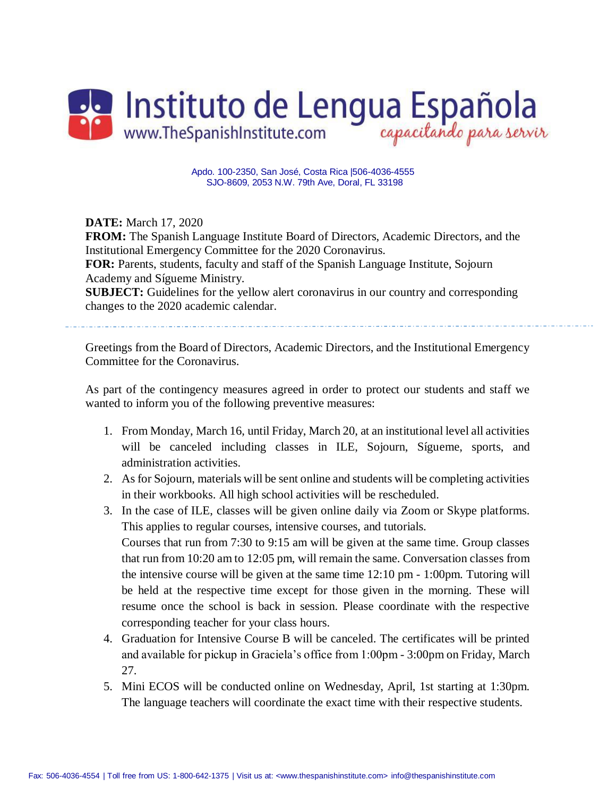

 Apdo. 100-2350, San José, Costa Rica |506-4036-4555 SJO-8609, 2053 N.W. 79th Ave, Doral, FL 33198

**DATE:** March 17, 2020 **FROM:** The Spanish Language Institute Board of Directors, Academic Directors, and the Institutional Emergency Committee for the 2020 Coronavirus. **FOR:** Parents, students, faculty and staff of the Spanish Language Institute, Sojourn Academy and Sígueme Ministry. **SUBJECT:** Guidelines for the yellow alert coronavirus in our country and corresponding changes to the 2020 academic calendar.

Greetings from the Board of Directors, Academic Directors, and the Institutional Emergency Committee for the Coronavirus.

As part of the contingency measures agreed in order to protect our students and staff we wanted to inform you of the following preventive measures:

- 1. From Monday, March 16, until Friday, March 20, at an institutional level all activities will be canceled including classes in ILE, Sojourn, Sígueme, sports, and administration activities.
- 2. As for Sojourn, materials will be sent online and students will be completing activities in their workbooks. All high school activities will be rescheduled.
- 3. In the case of ILE, classes will be given online daily via Zoom or Skype platforms. This applies to regular courses, intensive courses, and tutorials. Courses that run from 7:30 to 9:15 am will be given at the same time. Group classes that run from 10:20 am to 12:05 pm, will remain the same. Conversation classes from the intensive course will be given at the same time 12:10 pm - 1:00pm. Tutoring will be held at the respective time except for those given in the morning. These will resume once the school is back in session. Please coordinate with the respective corresponding teacher for your class hours.
- 4. Graduation for Intensive Course B will be canceled. The certificates will be printed and available for pickup in Graciela's office from 1:00pm - 3:00pm on Friday, March 27.
- 5. Mini ECOS will be conducted online on Wednesday, April, 1st starting at 1:30pm. The language teachers will coordinate the exact time with their respective students.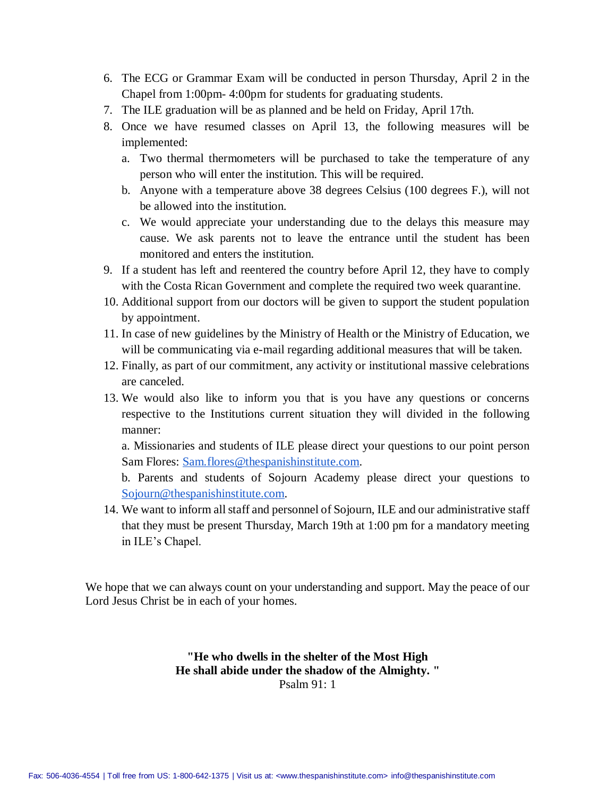- 6. The ECG or Grammar Exam will be conducted in person Thursday, April 2 in the Chapel from 1:00pm- 4:00pm for students for graduating students.
- 7. The ILE graduation will be as planned and be held on Friday, April 17th.
- 8. Once we have resumed classes on April 13, the following measures will be implemented:
	- a. Two thermal thermometers will be purchased to take the temperature of any person who will enter the institution. This will be required.
	- b. Anyone with a temperature above 38 degrees Celsius (100 degrees F.), will not be allowed into the institution.
	- c. We would appreciate your understanding due to the delays this measure may cause. We ask parents not to leave the entrance until the student has been monitored and enters the institution.
- 9. If a student has left and reentered the country before April 12, they have to comply with the Costa Rican Government and complete the required two week quarantine.
- 10. Additional support from our doctors will be given to support the student population by appointment.
- 11. In case of new guidelines by the Ministry of Health or the Ministry of Education, we will be communicating via e-mail regarding additional measures that will be taken.
- 12. Finally, as part of our commitment, any activity or institutional massive celebrations are canceled.
- 13. We would also like to inform you that is you have any questions or concerns respective to the Institutions current situation they will divided in the following manner:

a. Missionaries and students of ILE please direct your questions to our point person Sam Flores: [Sam.flores@thespanishinstitute.com.](mailto:Sam.flores@thespanishinstitute.com)

b. Parents and students of Sojourn Academy please direct your questions to [Sojourn@thespanishinstitute.com.](mailto:Sojourn@thespanishinstitute.com)

14. We want to inform all staff and personnel of Sojourn, ILE and our administrative staff that they must be present Thursday, March 19th at 1:00 pm for a mandatory meeting in ILE's Chapel.

We hope that we can always count on your understanding and support. May the peace of our Lord Jesus Christ be in each of your homes.

> **"He who dwells in the shelter of the Most High He shall abide under the shadow of the Almighty. "** Psalm 91: 1